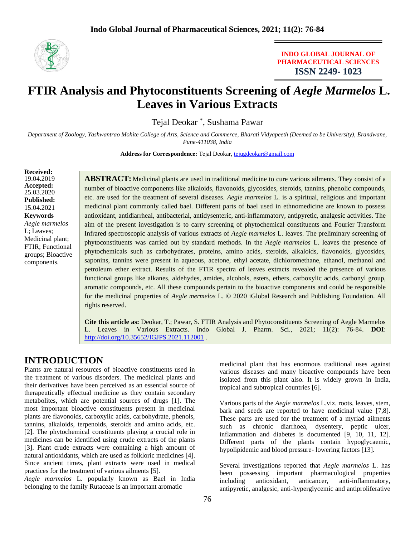

### **INDO GLOBAL JOURNAL OF PHARMACEUTICAL SCIENCES ISSN 2249- 1023**

# FTIR Analysis and Phytoconstituents Screening of *Aegle Marmelos* L. **Leaves in Various Extracts**

Tejal Deokar \* , Sushama Pawar

*Department of Zoology, Yashwantrao Mohite College of Arts, Science and Commerce, Bharati Vidyapeeth (Deemed to be University), Erandwane, Pune-411038, India*

**Address for Correspondence:** Tejal Deokar, [tejugdeokar@gmail.com](mailto:tejugdeokar@gmail.com)

**Received:**  19.04.2019 **Accepted:**  25.03.2020 **Published:** 15.04.2021 **Keywords** *Aegle marmelos* L; Leaves; Medicinal plant; FTIR; Functional groups; Bioactive components.

**ABSTRACT:** Medicinal plants are used in traditional medicine to cure various ailments. They consist of a number of bioactive components like alkaloids, flavonoids, glycosides, steroids, tannins, phenolic compounds, etc. are used for the treatment of several diseases. *Aegle marmelos* L. is a spiritual, religious and important medicinal plant commonly called bael. Different parts of bael used in ethnomedicine are known to possess antioxidant, antidiarrheal, antibacterial, antidysenteric, anti-inflammatory, antipyretic, analgesic activities. The aim of the present investigation is to carry screening of phytochemical constituents and Fourier Transform Infrared spectroscopic analysis of various extracts of *Aegle marmelos* L. leaves. The preliminary screening of phytoconstituents was carried out by standard methods. In the *Aegle marmelos* L. leaves the presence of phytochemicals such as carbohydrates, proteins, amino acids, steroids, alkaloids, flavonoids, glycosides, saponins, tannins were present in aqueous, acetone, ethyl acetate, dichloromethane, ethanol, methanol and petroleum ether extract. Results of the FTIR spectra of leaves extracts revealed the presence of various functional groups like alkanes, aldehydes, amides, alcohols, esters, ethers, carboxylic acids, carbonyl group, aromatic compounds, etc. All these compounds pertain to the bioactive components and could be responsible for the medicinal properties of *Aegle mermelos* L. © 2020 iGlobal Research and Publishing Foundation. All rights reserved.

**Cite this article as:** Deokar, T.; Pawar, S. FTIR Analysis and Phytoconstituents Screening of Aegle Marmelos L. Leaves in Various Extracts. Indo Global J. Pharm. Sci., 2021; 11(2): 76-84. **DOI**: <http://doi.org/10.35652/IGJPS.2021.112001> .

# **INTRODUCTION**

Plants are natural resources of bioactive constituents used in the treatment of various disorders. The medicinal plants and their derivatives have been perceived as an essential source of therapeutically effectual medicine as they contain secondary metabolites, which are potential sources of drugs [1]. The most important bioactive constituents present in medicinal plants are flavonoids, carboxylic acids, carbohydrate, phenols, tannins, alkaloids, terpenoids, steroids and amino acids, etc. [2]. The phytochemical constituents playing a crucial role in medicines can be identified using crude extracts of the plants [3]. Plant crude extracts were containing a high amount of natural antioxidants, which are used as folkloric medicines [4]. Since ancient times, plant extracts were used in medical practices for the treatment of various ailments [5].

*Aegle marmelos* L. popularly known as Bael in India belonging to the family Rutaceae is an important aromatic

medicinal plant that has enormous traditional uses against various diseases and many bioactive compounds have been isolated from this plant also. It is widely grown in India, tropical and subtropical countries [6].

Various parts of the *Aegle marmelos* L.viz. roots, leaves, stem, bark and seeds are reported to have medicinal value [7,8]. These parts are used for the treatment of a myriad ailments such as chronic diarrhoea, dysentery, peptic ulcer, inflammation and diabetes is documented [9, 10, 11, 12]. Different parts of the plants contain hypoglycaemic, hypolipidemic and blood pressure- lowering factors [13].

Several investigations reported that *Aegle marmelos* L. has been possessing important pharmacological properties including antioxidant, anticancer, anti-inflammatory, antipyretic, analgesic, anti-hyperglycemic and antiproliferative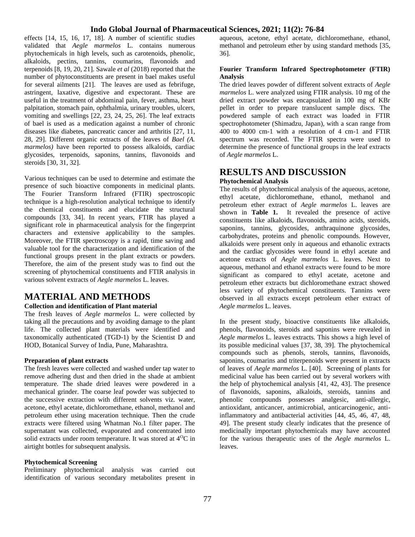effects [14, 15, 16, 17, 18]. A number of scientific studies validated that *Aegle marmelos* L. contains numerous phytochemicals in high levels, such as carotenoids, phenolic, alkaloids, pectins, tannins, coumarins, flavonoids and terpenoids [8, 19, 20, 21]. Sawale *et al* (2018) reported that the number of phytoconstituents are present in bael makes useful for several ailments [21]. The leaves are used as febrifuge, astringent, laxative, digestive and expectorant. These are useful in the treatment of abdominal pain, fever, asthma, heart palpitation, stomach pain, ophthalmia, urinary troubles, ulcers, vomiting and swellings [22, 23, 24, 25, 26]. The leaf extracts of bael is used as a medication against a number of chronic diseases like diabetes, pancreatic cancer and arthritis [27, 11, 28, 29]. Different organic extracts of the leaves of *Bael (A. marmelos*) have been reported to possess alkaloids, cardiac glycosides, terpenoids, saponins, tannins, flavonoids and steroids [30, 31, 32].

Various techniques can be used to determine and estimate the presence of such bioactive components in medicinal plants. The Fourier Transform Infrared (FTIR) spectroscopic technique is a high-resolution analytical technique to identify the chemical constituents and elucidate the structural compounds [33, 34]. In recent years, FTIR has played a significant role in pharmaceutical analysis for the fingerprint characters and extensive applicability to the samples. Moreover, the FTIR spectroscopy is a rapid, time saving and valuable tool for the characterization and identification of the functional groups present in the plant extracts or powders. Therefore, the aim of the present study was to find out the screening of phytochemical constituents and FTIR analysis in various solvent extracts of *Aegle marmelos* L. leaves.

## **MATERIAL AND METHODS**

#### **Collection and identification of Plant material**

The fresh leaves of *Aegle marmelos* L. were collected by taking all the precautions and by avoiding damage to the plant life. The collected plant materials were identified and taxonomically authenticated (TGD-1) by the Scientist D and HOD, Botanical Survey of India, Pune, Maharashtra.

#### **Preparation of plant extracts**

The fresh leaves were collected and washed under tap water to remove adhering dust and then dried in the shade at ambient temperature. The shade dried leaves were powdered in a mechanical grinder. The coarse leaf powder was subjected to the successive extraction with different solvents viz. water, acetone, ethyl acetate, dichloromethane, ethanol, methanol and petroleum ether using maceration technique. Then the crude extracts were filtered using Whatman No.1 filter paper. The supernatant was collected, evaporated and concentrated into solid extracts under room temperature. It was stored at  $4^{0}C$  in airtight bottles for subsequent analysis.

#### **Phytochemical Screening**

Preliminary phytochemical analysis was carried out identification of various secondary metabolites present in

aqueous, acetone, ethyl acetate, dichloromethane, ethanol, methanol and petroleum ether by using standard methods [35, 36].

#### **Fourier Transform Infrared Spectrophotometer (FTIR) Analysis**

The dried leaves powder of different solvent extracts of *Aegle marmelos* L. were analyzed using FTIR analysis. 10 mg of the dried extract powder was encapsulated in 100 mg of KBr pellet in order to prepare translucent sample discs. The powdered sample of each extract was loaded in FTIR spectrophotometer (Shimadzu, Japan), with a scan range from 400 to 4000 cm-1 with a resolution of 4 cm-1 and FTIR spectrum was recorded. The FTIR spectra were used to determine the presence of functional groups in the leaf extracts of *Aegle marmelos* L.

### **RESULTS AND DISCUSSION Phytochemical Analysis**

The results of phytochemical analysis of the aqueous, acetone, ethyl acetate, dichloromethane, ethanol, methanol and petroleum ether extract of *Aegle marmelos* L. leaves are shown in **Table 1.** It revealed the presence of active constituents like alkaloids, flavonoids, amino acids, steroids, saponins, tannins, glycosides, anthraquinone glycosides, carbohydrates, proteins and phenolic compounds. However, alkaloids were present only in aqueous and ethanolic extracts and the cardiac glycosides were found in ethyl acetate and acetone extracts of *Aegle marmelos* L. leaves. Next to aqueous, methanol and ethanol extracts were found to be more significant as compared to ethyl acetate, acetone and petroleum ether extracts but dichloromethane extract showed less variety of phytochemical constituents. Tannins were observed in all extracts except petroleum ether extract of *Aegle marmelos* L. leaves.

In the present study, bioactive constituents like alkaloids, phenols, flavonoids, steroids and saponins were revealed in *Aegle marmelos* L. leaves extracts. This shows a high level of its possible medicinal values [37, 38, 39]. The phytochemical compounds such as phenols, sterols, tannins, flavonoids, saponins, coumarins and triterpenoids were present in extracts of leaves of *Aegle marmelos* L. [40]. Screening of plants for medicinal value has been carried out by several workers with the help of phytochemical analysis [41, 42, 43]. The presence of flavonoids, saponins, alkaloids, steroids, tannins and phenolic compounds possesses analgesic, anti-allergic, antioxidant, anticancer, antimicrobial, anticarcinogenic, antiinflammatory and antibacterial activities [44, 45, 46, 47, 48, 49]. The present study clearly indicates that the presence of medicinally important phytochemicals may have accounted for the various therapeutic uses of the *Aegle marmelos* L. leaves.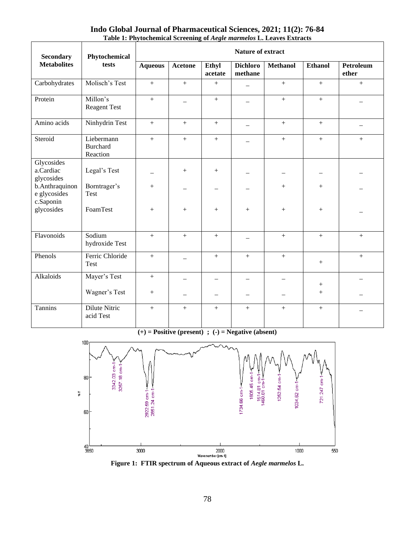### **Indo Global Journal of Pharmaceutical Sciences, 2021; 11(2): 76-84 Table 1: Phytochemical Screening of** *Aegle marmelos* **L. Leaves Extracts**

| <b>Secondary</b>                            | Phytochemical                             | <b>Nature of extract</b> |                  |                          |                            |                 |                  |                           |  |
|---------------------------------------------|-------------------------------------------|--------------------------|------------------|--------------------------|----------------------------|-----------------|------------------|---------------------------|--|
| <b>Metabolites</b>                          | tests                                     | <b>Aqueous</b>           | <b>Acetone</b>   | Ethyl<br>acetate         | <b>Dichloro</b><br>methane | <b>Methanol</b> | <b>Ethanol</b>   | <b>Petroleum</b><br>ether |  |
| Carbohydrates                               | Molisch's Test                            | $+$                      | $+$              | $+$                      |                            | $+$             | $+$              | $+$                       |  |
| Protein                                     | Millon's<br><b>Reagent Test</b>           | $+$                      |                  | $^{+}$                   |                            | $+$             | $+$              |                           |  |
| Amino acids                                 | Ninhydrin Test                            | $+$                      | $^{+}$           | $^{+}$                   |                            | $+$             | $+$              |                           |  |
| Steroid                                     | Liebermann<br><b>Burchard</b><br>Reaction | $+$                      | $\boldsymbol{+}$ | $\boldsymbol{+}$         |                            | $+$             | $\boldsymbol{+}$ | $+$                       |  |
| Glycosides<br>a.Cardiac<br>glycosides       | Legal's Test                              |                          | $^{+}$           | $+$                      |                            |                 |                  |                           |  |
| b.Anthraquinon<br>e glycosides<br>c.Saponin | Borntrager's<br>Test                      | $+$                      |                  | $\overline{\phantom{0}}$ |                            | $+$             | $+$              |                           |  |
| glycosides                                  | FoamTest                                  | $+$                      | $^{+}$           | $+$                      | $^{+}$                     | $+$             | $+$              |                           |  |
| Flavonoids                                  | Sodium<br>hydroxide Test                  | $+$                      | $+$              | $+$                      |                            | $+$             | $+$              | $+$                       |  |
| Phenols                                     | Ferric Chloride<br><b>Test</b>            | $+$                      |                  | $\boldsymbol{+}$         | $^{+}$                     | $+$             | $^{+}$           | $^{+}$                    |  |
| Alkaloids                                   | Mayer's Test                              | $+$                      |                  |                          |                            |                 | $\boldsymbol{+}$ |                           |  |
|                                             | Wagner's Test                             | $+$                      |                  | $\overline{\phantom{m}}$ |                            |                 | $^{+}$           |                           |  |
| Tannins                                     | Dilute Nitric<br>acid Test                | $+$                      | $^{+}$           | $^{+}$                   | $+$                        | $\ddot{}$       | $+$              |                           |  |

**(+) = Positive (present) ; (-) = Negative (absent)**



**Figure 1: FTIR spectrum of Aqueous extract of** *Aegle marmelos* **L.**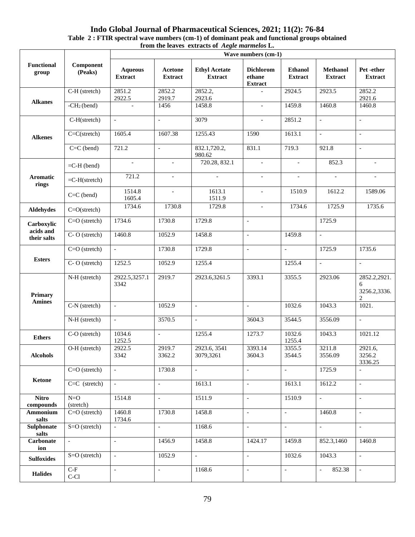#### **Indo Global Journal of Pharmaceutical Sciences, 2021; 11(2): 76-84 Table 2 : FTIR spectral wave numbers (cm-1) of dominant peak and functional groups obtained from the leaves extracts of** *Aegle marmelos* **L.**

| <b>Functional</b><br>group | Component<br>(Peaks)        | Wave numbers (cm-1)              |                           |                                        |                                              |                                  |                                    |                                                     |  |
|----------------------------|-----------------------------|----------------------------------|---------------------------|----------------------------------------|----------------------------------------------|----------------------------------|------------------------------------|-----------------------------------------------------|--|
|                            |                             | <b>Aqueous</b><br><b>Extract</b> | Acetone<br><b>Extract</b> | <b>Ethyl Acetate</b><br><b>Extract</b> | <b>Dichlorom</b><br>ethane<br><b>Extract</b> | <b>Ethanol</b><br><b>Extract</b> | <b>Methanol</b><br><b>Extract</b>  | Pet -ether<br><b>Extract</b>                        |  |
|                            | C-H (stretch)               | 2851.2<br>2922.5                 | 2852.2<br>2919.7          | 2852.2,<br>2923.6                      | $\mathbb{L}$                                 | 2924.5                           | 2923.5                             | 2852.2<br>2921.6                                    |  |
| <b>Alkanes</b>             | $-CH2$ (bend)               | $\sim$                           | 1456                      | 1458.8                                 | $\mathcal{L}_{\mathcal{A}}$                  | 1459.8                           | 1460.8                             | 1460.8                                              |  |
|                            | C-H(stretch)                | $\mathcal{L}^{\pm}$              | $\blacksquare$            | 3079                                   | $\mathbf{r}$                                 | 2851.2                           | $\blacksquare$                     | $\equiv$                                            |  |
| <b>Alkenes</b>             | $C=C(\text{stretch})$       | 1605.4                           | 1607.38                   | 1255.43                                | 1590                                         | 1613.1                           | $\bar{\mathcal{L}}$                | $\blacksquare$                                      |  |
|                            | $C=C$ (bend)                | 721.2                            | $\sim$                    | 832.1,720.2,<br>980.62                 | 831.1                                        | $\overline{7}19.3$               | 921.8                              | $\sim$                                              |  |
|                            | $=$ C-H (bend)              | $\overline{\phantom{a}}$         | $\sim$                    | 720.28, 832.1                          | $\blacksquare$                               | $\mathcal{L}_{\mathcal{A}}$      | 852.3                              | $\overline{\phantom{a}}$                            |  |
| Aromatic<br>rings          | $=C-H(\text{stretch})$      | 721.2                            | $\overline{\phantom{a}}$  | $\sim$                                 | $\blacksquare$                               | $\blacksquare$                   | $\blacksquare$                     | $\sim$                                              |  |
|                            | $C=C$ (bend)                | 1514.8<br>1605.4                 | $\sim$                    | 1613.1<br>1511.9                       | $\mathbf{r}$                                 | 1510.9                           | 1612.2                             | 1589.06                                             |  |
| Aldehydes                  | $C=O(\text{stretch})$       | 1734.6                           | 1730.8                    | 1729.8                                 | $\overline{\phantom{a}}$                     | 1734.6                           | 1725.9                             | 1735.6                                              |  |
| Carboxylic                 | $C=O$ (stretch)             | 1734.6                           | 1730.8                    | 1729.8                                 | $\overline{\phantom{a}}$                     |                                  | 1725.9                             |                                                     |  |
| acids and<br>their salts   | C-O (stretch)               | 1460.8                           | 1052.9                    | 1458.8                                 | $\blacksquare$                               | 1459.8                           | $\equiv$                           |                                                     |  |
|                            | $C=O$ (stretch)             | $\equiv$                         | 1730.8                    | 1729.8                                 | $\overline{\phantom{a}}$                     | $\overline{a}$                   | 1725.9                             | 1735.6                                              |  |
| <b>Esters</b>              | C-O (stretch)               | 1252.5                           | 1052.9                    | 1255.4                                 |                                              | 1255.4                           | $\overline{\phantom{a}}$           | $\equiv$                                            |  |
| Primary                    | N-H (stretch)               | 2922.5,3257.1<br>3342            | 2919.7                    | 2923.6,3261.5                          | 3393.1                                       | 3355.5                           | 2923.06                            | 2852.2,2921.<br>6<br>3256.2,3336.<br>$\overline{c}$ |  |
| <b>Amines</b>              | C-N (stretch)               | $\mathcal{L}$                    | 1052.9                    | $\overline{a}$                         | $\overline{a}$                               | 1032.6                           | 1043.3                             | 1021.                                               |  |
|                            | N-H (stretch)               | $\blacksquare$                   | 3570.5                    | $\overline{\phantom{a}}$               | 3604.3                                       | 3544.5                           | 3556.09                            | $\mathbb{L}^+$                                      |  |
| <b>Ethers</b>              | C-O (stretch)               | 1034.6<br>1252.5                 | $\mathbb{L}$              | 1255.4                                 | 1273.7                                       | 1032.6<br>1255.4                 | 1043.3                             | 1021.12                                             |  |
| <b>Alcohols</b>            | O-H (stretch)               | 2922.5<br>3342                   | 2919.7<br>3362.2          | 2923.6, 3541<br>3079,3261              | 3393.14<br>3604.3                            | 3355.5<br>3544.5                 | 3211.8<br>3556.09                  | 2921.6,<br>3256.2<br>3336.25                        |  |
|                            | $C=O$ (stretch)             | $\omega$                         | 1730.8                    | $\mathbb{L}^+$                         | $\omega$                                     | $\mathbb{Z}^{\mathbb{Z}}$        | 1725.9                             | $\mathbb{Z}^{\mathbb{Z}}$                           |  |
| Ketone                     | $C=C$ (stretch)             | $\sim$                           | $\overline{\phantom{a}}$  | 1613.1                                 | $\overline{\phantom{a}}$                     | 1613.1                           | 1612.2                             | $\blacksquare$                                      |  |
| <b>Nitro</b><br>compounds  | $N=O$<br>(stretch)          | 1514.8                           | $\mathbb{L}$              | 1511.9                                 | $\overline{\phantom{a}}$                     | 1510.9                           | $\mathbb{L}$                       | $\blacksquare$                                      |  |
| Ammonium<br>salts          | $C=O$ (stretch)             | 1460.8<br>1734.6                 | 1730.8                    | 1458.8                                 | $\blacksquare$                               | $\overline{\phantom{a}}$         | 1460.8                             | $\sim$                                              |  |
| Sulphonate<br>salts        | $S=O$ (stretch)             | $\mathbb{L}^+$                   | $\mathbb{Z}^2$            | 1168.6                                 | $\mathcal{L}_{\mathcal{A}}$                  | $\mathcal{L}_{\mathcal{A}}$      | $\Box$                             | $\omega$                                            |  |
| <b>Carbonate</b><br>ion    | $\mathcal{L}_{\mathcal{A}}$ | $\mathbb{L}$                     | 1456.9                    | 1458.8                                 | 1424.17                                      | 1459.8                           | 852.3,1460                         | 1460.8                                              |  |
| <b>Sulfoxides</b>          | $S=O$ (stretch)             | $\equiv$                         | 1052.9                    | $\frac{1}{2}$                          | $\overline{\phantom{a}}$                     | 1032.6                           | 1043.3                             | $\equiv$                                            |  |
| <b>Halides</b>             | $C-F$<br>$C-C1$             | $\blacksquare$                   | $\overline{\phantom{a}}$  | 1168.6                                 | $\overline{\phantom{a}}$                     | $\overline{\phantom{a}}$         | 852.38<br>$\overline{\phantom{a}}$ | $\blacksquare$                                      |  |
|                            |                             |                                  |                           |                                        |                                              |                                  |                                    |                                                     |  |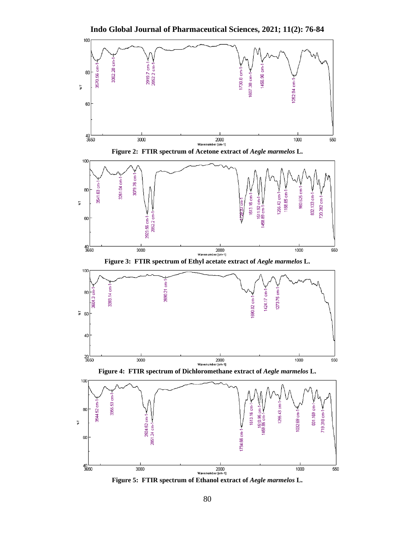**Indo Global Journal of Pharmaceutical Sciences, 2021; 11(2): 76-84**



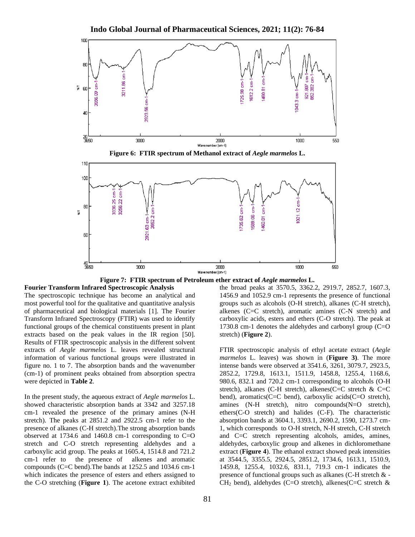

**Indo Global Journal of Pharmaceutical Sciences, 2021; 11(2): 76-84**



**Fourier Transform Infrared Spectroscopic Analysis** The spectroscopic technique has become an analytical and most powerful tool for the qualitative and quantitative analysis of pharmaceutical and biological materials [1]. The Fourier Transform Infrared Spectroscopy (FTIR) was used to identify functional groups of the chemical constituents present in plant extracts based on the peak values in the IR region [50]. Results of FTIR spectroscopic analysis in the different solvent extracts of *Aegle marmelos* L. leaves revealed structural information of various functional groups were illustrated in figure no. 1 to 7. The absorption bands and the wavenumber (cm-1) of prominent peaks obtained from absorption spectra were depicted in **Table 2**.

In the present study, the aqueous extract of *Aegle marmelos* L. showed characteristic absorption bands at 3342 and 3257.18 cm-1 revealed the presence of the primary amines (N-H stretch). The peaks at 2851.2 and 2922.5 cm-1 refer to the presence of alkanes (C-H stretch).The strong absorption bands observed at 1734.6 and 1460.8 cm-1 corresponding to C=O stretch and C-O stretch representing aldehydes and a carboxylic acid group. The peaks at 1605.4, 1514.8 and 721.2 cm-1 refer to the presence of alkenes and aromatic compounds (C=C bend).The bands at 1252.5 and 1034.6 cm-1 which indicates the presence of esters and ethers assigned to the C-O stretching (**Figure 1**). The acetone extract exhibited

the broad peaks at 3570.5, 3362.2, 2919.7, 2852.7, 1607.3, 1456.9 and 1052.9 cm-1 represents the presence of functional groups such as alcohols (O-H stretch), alkanes (C-H stretch), alkenes (C=C stretch), aromatic amines (C-N stretch) and carboxylic acids, esters and ethers (C-O stretch). The peak at 1730.8 cm-1 denotes the aldehydes and carbonyl group (C=O stretch) (**Figure 2**).

FTIR spectroscopic analysis of ethyl acetate extract (*Aegle marmelos* L. leaves) was shown in (**Figure 3)**. The more intense bands were observed at 3541.6, 3261, 3079.7, 2923.5, 2852.2, 1729.8, 1613.1, 1511.9, 1458.8, 1255.4, 1168.6, 980.6, 832.1 and 720.2 cm-1 corresponding to alcohols (O-H stretch), alkanes (C-H stretch), alkenes(C=C stretch & C=C bend), aromatics(C=C bend), carboxylic acids(C=O stretch), amines (N-H stretch), nitro compounds(N=O stretch), ethers(C-O stretch) and halides (C-F). The characteristic absorption bands at 3604.1, 3393.1, 2690.2, 1590, 1273.7 cm-1, which corresponds to O-H stretch, N-H stretch, C-H stretch and C=C stretch representing alcohols, amides, amines, aldehydes, carboxylic group and alkenes in dichloromethane extract (**Figure 4**). The ethanol extract showed peak intensities at 3544.5, 3355.5, 2924.5, 2851.2, 1734.6, 1613.1, 1510.9, 1459.8, 1255.4, 1032.6, 831.1, 719.3 cm-1 indicates the presence of functional groups such as alkanes (C-H stretch & -  $CH<sub>2</sub>$  bend), aldehydes (C=O stretch), alkenes(C=C stretch &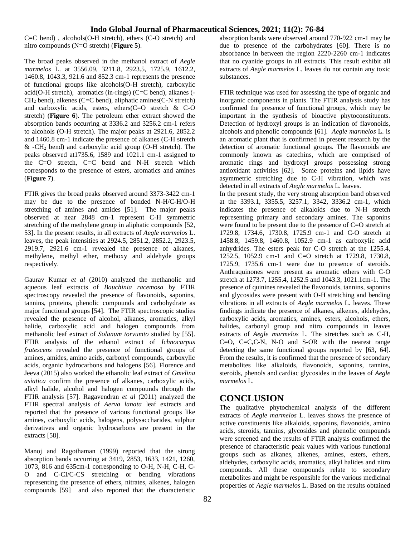C=C bend) , alcohols(O-H stretch), ethers (C-O stretch) and nitro compounds (N=O stretch) (**Figure 5**).

The broad peaks observed in the methanol extract of *Aegle marmelos* L. at 3556.09, 3211.8, 2923.5, 1725.9, 1612.2, 1460.8, 1043.3, 921.6 and 852.3 cm-1 represents the presence of functional groups like alcohols(O-H stretch), carboxylic acid(O-H stretch), aromatics (in-rings) (C=C bend), alkanes (- CH<sup>2</sup> bend), alkenes (C=C bend), aliphatic amines(C-N stretch) and carboxylic acids, esters, ethers(C=O stretch & C-O stretch) (**Figure 6**). The petroleum ether extract showed the absorption bands occurring at 3336.2 and 3256.2 cm-1 refers to alcohols (O-H stretch). The major peaks at 2921.6, 2852.2 and 1460.8 cm-1 indicate the presence of alkanes (C-H stretch  $&$  -CH<sub>2</sub> bend) and carboxylic acid group (O-H stretch). The peaks observed at1735.6, 1589 and 1021.1 cm-1 assigned to the C=O stretch, C=C bend and N-H stretch which corresponds to the presence of esters, aromatics and amines (**Figure 7**).

FTIR gives the broad peaks observed around 3373-3422 cm-1 may be due to the presence of bonded N-H/C-H/O-H stretching of amines and amides [51]. The major peaks observed at near 2848 cm-1 represent C-H symmetric stretching of the methylene group in aliphatic compounds [52, 53]. In the present results, in all extracts of *Aegle marmelos* L. leaves, the peak intensities at 2924.5, 2851.2, 2852.2, 2923.5, 2919.7, 2921.6 cm-1 revealed the presence of alkanes, methylene, methyl ether, methoxy and aldehyde groups respectively.

Gaurav Kumar *et al* (2010) analyzed the methanolic and aqueous leaf extracts of *Bauchinia racemosa* by FTIR spectroscopy revealed the presence of flavonoids, saponins, tannins, proteins, phenolic compounds and carbohydrate as major functional groups [54]. The FTIR spectroscopic studies revealed the presence of alcohol, alkanes, aromatics, alkyl halide, carboxylic acid and halogen compounds from methanolic leaf extract of *Solanum torvumto* studied by [55]. FTIR analysis of the ethanol extract of *Ichnocarpus frutescens* revealed the presence of functional groups of amines, amides, amino acids, carbonyl compounds, carboxylic acids, organic hydrocarbons and halogens [56]. Florence and Jeeva (2015) also worked the ethanolic leaf extract of *Gmelina asiatica* confirm the presence of alkanes, carboxylic acids, alkyl halide, alcohol and halogen compounds through the FTIR analysis [57]. Ragavendran *et al* (2011) analyzed the FTIR spectral analysis of *Aerva lanata* leaf extracts and reported that the presence of various functional groups like amines, carboxylic acids, halogens, polysaccharides, sulphur derivatives and organic hydrocarbons are present in the extracts [58].

Manoj and Ragothaman (1999) reported that the strong absorption bands occurring at 3419, 2853, 1633, 1421, 1260, 1073, 816 and 635cm-1 corresponding to O-H, N-H, C-H, C-O and C-CI/C-CS stretching or bending vibrations representing the presence of ethers, nitrates, alkenes, halogen compounds [59] and also reported that the characteristic absorption bands were observed around 770-922 cm-1 may be due to presence of the carbohydrates [60]. There is no absorbance in between the region 2220-2260 cm-1 indicates that no cyanide groups in all extracts. This result exhibit all extracts of *Aegle marmelos* L. leaves do not contain any toxic substances.

FTIR technique was used for assessing the type of organic and inorganic components in plants. The FTIR analysis study has confirmed the presence of functional groups, which may be important in the synthesis of bioactive phytoconstituents. Detection of hydroxyl groups is an indication of flavonoids, alcohols and phenolic compounds [61]. *Aegle marmelos* L. is an aromatic plant that is confirmed in present research by the detection of aromatic functional groups. The flavonoids are commonly known as catechins, which are comprised of aromatic rings and hydroxyl groups possessing strong antioxidant activities [62]. Some proteins and lipids have asymmetric stretching due to C-H vibration, which was detected in all extracts of *Aegle marmelos* L. leaves.

In the present study, the very strong absorption band observed at the 3393.1, 3355.5, 3257.1, 3342, 3336.2 cm-1, which indicates the presence of alkaloids due to N-H stretch representing primary and secondary amines. The saponins were found to be present due to the presence of C=O stretch at 1729.8, 1734.6, 1730.8, 1725.9 cm-1 and C-O stretch at 1458.8, 1459.8, 1460.8, 1052.9 cm-1 as carboxylic acid anhydrides. The esters peak for C-O stretch at the 1255.4, 1252.5, 1052.9 cm-1 and C=O stretch at 1729.8, 1730.8, 1725.9, 1735.6 cm-1 were due to presence of steroids. Anthraquinones were present as aromatic ethers with C-O stretch at 1273.7, 1255.4, 1252.5 and 1043.3, 1021.1cm-1. The presence of quinines revealed the flavonoids, tannins, saponins and glycosides were present with O-H stretching and bending vibrations in all extracts of *Aegle marmelos* L. leaves. These findings indicate the presence of alkanes, alkenes, aldehydes, carboxylic acids, aromatics, amines, esters, alcohols, ethers, halides, carbonyl group and nitro compounds in leaves extracts of *Aegle marmelos* L. The stretches such as C-H, C=O, C=C,C-N, N-O and S-OR with the nearest range detecting the same functional groups reported by [63, 64]. From the results, it is confirmed that the presence of secondary metabolites like alkaloids, flavonoids, saponins, tannins, steroids, phenols and cardiac glycosides in the leaves of *Aegle marmelos* L.

# **CONCLUSION**

The qualitative phytochemical analysis of the different extracts of *Aegle marmelos* L. leaves shows the presence of active constituents like alkaloids, saponins, flavonoids, amino acids, steroids, tannins, glycosides and phenolic compounds were screened and the results of FTIR analysis confirmed the presence of characteristic peak values with various functional groups such as alkanes, alkenes, amines, esters, ethers, aldehydes, carboxylic acids, aromatics, alkyl halides and nitro compounds. All these compounds relate to secondary metabolites and might be responsible for the various medicinal properties of *Aegle marmelos* L. Based on the results obtained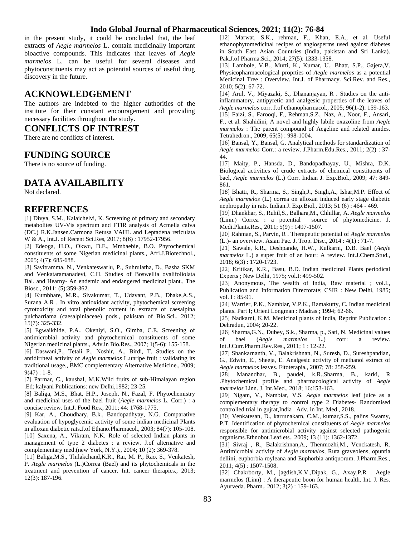in the present study, it could be concluded that, the leaf extracts of *Aegle marmelos* L. contain medicinally important bioactive compounds. This indicates that leaves of *Aegle marmelos* L. can be useful for several diseases and phytoconstituents may act as potential sources of useful drug discovery in the future.

# **ACKNOWLEDGEMENT**

The authors are indebted to the higher authorities of the institute for their constant encouragement and providing necessary facilities throughout the study.

### **CONFLICTS OF INTREST**

There are no conflicts of interest.

# **FUNDING SOURCE**

There is no source of funding.

# **DATA AVAILABILITY**

Not declared.

# **REFERENCES**

[1] Divya, S.M., Kalaichelvi, K. Screening of primary and secondary metabolites UV-Vis spectrum and FTIR analysis of Acmella calva (DC.) R.K.Jansen.Carmona Retusa VAHL and Leptadena reticulata W & A., Int.J. of Recent Sci.Res, 2017; 8(6) : 17952-17956.

[2] Edeoga, H.O., Okwu, D.E., Mmbaebie, B.O. Phytochemical constituents of some Nigerian medicinal plants., Afri.J.Biotechnol., 2005; 4(7): 685-688.

[3] Savitramma, N., Venkateswarlu, P., Suhrulatha, D., Basha SKM and Venkataramanadevi, C.H. Studies of Boswellia ovalifoliolata Bal. and Hearny- An endemic and endangered medicinal plant., The Biosc., 2011; (5):359-362.

[4] Kumbhare, M.R., Sivakumar, T., Udavant, P.B., Dhake,A.S., Surana A.R . In vitro antioxidant activity, phytochemical screening cytotoxicity and total phenolic content in extracts of caesalpina pulcharriama (caesalpiniaceae) pods., pakistan of Bio.Sci., 2012; 15(7): 325-332.

[5] Egwaikhide, P.A., Okeniyi, S.O., Gimba, C.E. Screening of antimicrobial activity and phytochemical constituents of some Nigerian medicinal plants., Adv.in Bio.Res., 2007; 1(5-6): 155-158.

[6] Daswani,P., Tetali P., Noshir, A., Birdi, T. Studies on the antidirrheal activity of *Aegle marmelos* L.unripe fruit : validating its traditional usage., BMC complementary Alternative Medicine., 2009;  $9(47): 1-8.$ 

[7] Parmar, C., kaushal, M.K.Wild fruits of sub-Himalayan region .Ed; kalyani Publications: new Delhi,1982; 23-25.

[8] Baliga, M.S., Bhat, H.P., Joseph, N., Fazal, F. Phytochemistry and medicinal uses of the bael fruit (*Aegle marmelos* L. Corr.) : a concise review. Int.J. Food Res., 2011; 44: 1768-1775.

[9] Kar, A., Choudhary, B.k., Bandopadhyay, N.G. Comparative evaluation of hypoglycemic activity of some indian medicinal Plants in alloxan diabetic rats.J.of Ethano.Pharmacol., 2003; 84(7): 105-108. [10] Saxena, A., Vikram, N.K. Role of selected Indian plants in management of type 2 diabetes : a review. J.of alternative and complementary med.(new York, N.Y.)., 2004; 10 (2): 369-378.

[11] Baliga,M.S., Thilakchand,K.R., Rai, M. P., Rao, S., Venkatesh, P. *Aegle marmelos* (L.)Correa (Bael) and its phytochemicals in the treatment and prevention of cancer. Int. cancer therapies., 2013; 12(3): 187-196.

[12] Marwat, S.K., rehman, F., Khan, E.A., et al. Useful ethanophytomedicinal recipes of angiosperms used against diabetes in South East Asian Countries (India, pakistan and Sri Lanka). Pak.J.of Pharma.Sci., 2014; 27(5): 1333-1358.

[13] Lambole, V.B., Murti, K., Kumar, U., Bhatt, S.P., Gajera,V. Physicopharmacological proprties of *Aegle marmelos* as a potential Medicinal Tree : Overview. Int.J. of Pharmacy. Sci.Rev. and Res., 2010; 5(2): 67-72.

[14] Arul, V., Miyazaki, S., Dhananjayan, R . Studies on the antiinflammatory, antipyretic and analgesic properties of the leaves of *Aegle marmelos* corr. J.of ethanopharmacol., 2005; 96(1-2): 159-163. [15] Faizi, S., Farooqi, F., Rehman,S.Z., Naz, A., Noor, F., Ansari, F., et al. Shahidini, A novel and highly labile oxazoline from *Aegle marmelos* : The parent compound of Aegeline and related amides. Tetrahedron., 2009; 65(5) : 998-1004.

[16] Bansal, Y., Bansal, G. Analytical methods for standardization of *Aegle marmelos* Corr.: a review. J.Pharm.Edu.Res., 2011; 2(2) : 37- 44.

[17] Maity, P., Hansda, D., Bandopadhayay, U., Mishra, D.K. Biological activities of crude extracts of chemical constituents of bael, *Aegle marmelos* (L.) Corr. Indian J. Exp.Biol., 2009; 47: 849- 861.

[18] Bhatti, R., Sharma, S., Singh,J., Singh,A., Ishar,M.P. Effect of *Aegle marmelos* (L.) correa on alloxan induced early stage diabetic nephropathy in rats. Indian.J. Exp.Biol., 2013; 51 (6) : 464 - 469.

[19] Dhankhar, S., Ruhil,S., Balhara,M., Chhillar, A. *Aegle marmelos* (Linn.) Correa : a potential source of phytomedicine. J. Medi.Plants.Res., 2011; 5(9) : 1497-1507.

[20] Rahman, S., Parvin, R . Therapeutic potential of *Aegle marmelos* (L.)- an overview. Asian Pac. J. Trop. Disc., 2014 : 4(1) : 71-7.

[21] Sawale, k.R., Deshpande, H.W., Kulkarni, D.B. Bael (*Aegle marmelos* L.) a super fruit of an hour: A review. Int.J.Chem.Stud., 2018; 6(3) : 1720-1723.

[22] Kritikar, K.R., Basu, B.D. Indian medicinal Plants periodical Experts ; New Delhi, 1975; vol.I: 499-502.

[23] Anonymous, The wealth of India, Raw material ; vol.I., Publication and Information Directorate; CSIR : New Delhi, 1985; vol. I : 85-91.

[24] Warrier, P.K., Nambiar, V.P.K., Ramakutty, C. Indian medicinal plants. Part I; Orient Longman : Madras ; 1994; 62-66.

[25] Nadkarni, K.M. Medicinal plants of India, Reprint Publication : Dehradun, 2004; 20-22.

[26] Sharma,G.N., Dubey, S.k., Sharma, p., Sati, N. Medicinal values of bael (*Aegle marmelos* L.) corr: a review. Int.J.Curr.Pharm.Rev.Res., 2011; 1 : 12-22.

[27] Shankarnanth, V., Balakrishnan, N., Suresh, D., Sureshpandian, G., Edwin, E., Sheeja, E. Analgesic activity of methanol extract of *Aegle marmelos* leaves. Fitoterapia., 2007; 78: 258-259.

[28] Manandhar, B., paudel, k.R.,Sharma, B., karki, R .Phytochemical profile and pharmacological activity of *Aegle marmelos* Linn. J. Int.Med., 2018; 16:153-163.

[29] Nigam, V., Nambiar, V.S. *Aegle marmelos* leaf juice as a complementary therapy to control type 2 Diabetes- Randomised controlled trial in gujrat,India . Adv. in Int. Med., 2018.

[30] Venkatesan, D., karrunakarn, C.M., kumar,S.S., palins Swamy, P.T. Identification of phytochemical constituents of *Aegle marmelos* responsible for antimicrobial activity against selected pathogenic organisms.Ethnobot.Leaflets., 2009; 13 (11): 1362-1372.

[31] Sivraj , R., Balakrishnan,A., Thenmozhi,M., Venckatesh, R. Antimicrobial activity of *Aegle marmelos*, Ruta graveolens, opuntia dellini, euphorbia royleana and Euphorbia antiquorum. J.Pharm.Res., 2011; 4(5) : 1507-1508.

[32] Chakrborty, M., jagdish,K.V.,Dipak, G., Axay,P.R . Aegle marmelos (Linn) : A therapeutic boon for human health. Int. J. Res. Ayurveda. Pharm., 2012; 3(2) : 159-163.